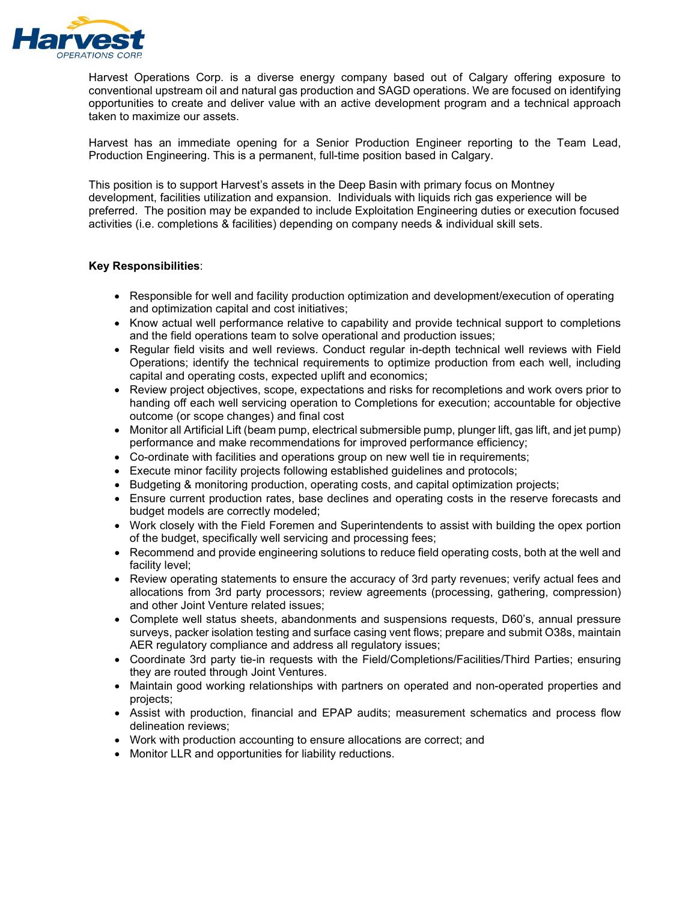

Harvest Operations Corp. is a diverse energy company based out of Calgary offering exposure to conventional upstream oil and natural gas production and SAGD operations. We are focused on identifying opportunities to create and deliver value with an active development program and a technical approach taken to maximize our assets.

Harvest has an immediate opening for a Senior Production Engineer reporting to the Team Lead, Production Engineering. This is a permanent, full-time position based in Calgary.

This position is to support Harvest's assets in the Deep Basin with primary focus on Montney development, facilities utilization and expansion. Individuals with liquids rich gas experience will be preferred. The position may be expanded to include Exploitation Engineering duties or execution focused activities (i.e. completions & facilities) depending on company needs & individual skill sets.

## **Key Responsibilities**:

- Responsible for well and facility production optimization and development/execution of operating and optimization capital and cost initiatives;
- Know actual well performance relative to capability and provide technical support to completions and the field operations team to solve operational and production issues;
- Regular field visits and well reviews. Conduct regular in-depth technical well reviews with Field Operations; identify the technical requirements to optimize production from each well, including capital and operating costs, expected uplift and economics;
- Review project objectives, scope, expectations and risks for recompletions and work overs prior to handing off each well servicing operation to Completions for execution; accountable for objective outcome (or scope changes) and final cost
- Monitor all Artificial Lift (beam pump, electrical submersible pump, plunger lift, gas lift, and jet pump) performance and make recommendations for improved performance efficiency;
- Co-ordinate with facilities and operations group on new well tie in requirements;
- Execute minor facility projects following established guidelines and protocols;
- Budgeting & monitoring production, operating costs, and capital optimization projects;
- Ensure current production rates, base declines and operating costs in the reserve forecasts and budget models are correctly modeled;
- Work closely with the Field Foremen and Superintendents to assist with building the opex portion of the budget, specifically well servicing and processing fees;
- Recommend and provide engineering solutions to reduce field operating costs, both at the well and facility level;
- Review operating statements to ensure the accuracy of 3rd party revenues; verify actual fees and allocations from 3rd party processors; review agreements (processing, gathering, compression) and other Joint Venture related issues;
- Complete well status sheets, abandonments and suspensions requests, D60's, annual pressure surveys, packer isolation testing and surface casing vent flows; prepare and submit O38s, maintain AER regulatory compliance and address all regulatory issues;
- Coordinate 3rd party tie-in requests with the Field/Completions/Facilities/Third Parties; ensuring they are routed through Joint Ventures.
- Maintain good working relationships with partners on operated and non-operated properties and projects;
- Assist with production, financial and EPAP audits; measurement schematics and process flow delineation reviews;
- Work with production accounting to ensure allocations are correct; and
- Monitor LLR and opportunities for liability reductions.